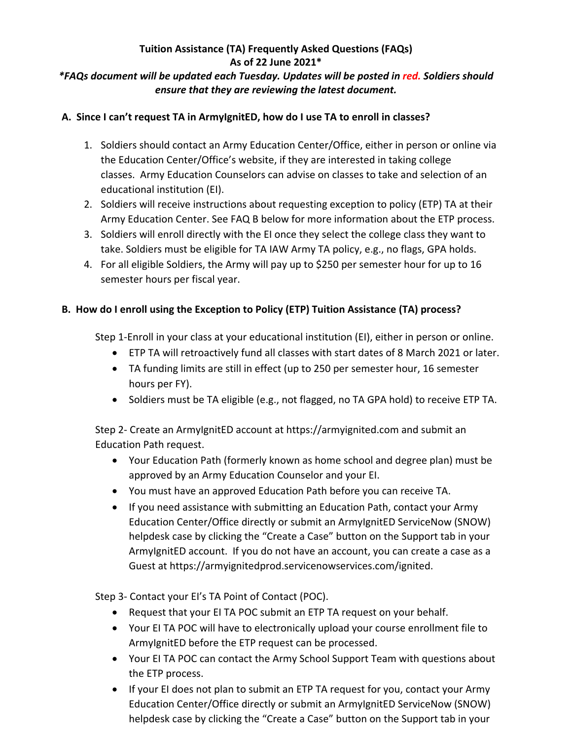## **Tuition Assistance (TA) Frequently Asked Questions (FAQs) As of 22 June 2021\*** *\*FAQs document will be updated each Tuesday. Updates will be posted in red. Soldiers should ensure that they are reviewing the latest document.*

## **A. Since I can't request TA in ArmyIgnitED, how do I use TA to enroll in classes?**

- 1. Soldiers should contact an Army Education Center/Office, either in person or online via the Education Center/Office's website, if they are interested in taking college classes. Army Education Counselors can advise on classes to take and selection of an educational institution (EI).
- 2. Soldiers will receive instructions about requesting exception to policy (ETP) TA at their Army Education Center. See FAQ B below for more information about the ETP process.
- 3. Soldiers will enroll directly with the EI once they select the college class they want to take. Soldiers must be eligible for TA IAW Army TA policy, e.g., no flags, GPA holds.
- 4. For all eligible Soldiers, the Army will pay up to \$250 per semester hour for up to 16 semester hours per fiscal year.

## **B. How do I enroll using the Exception to Policy (ETP) Tuition Assistance (TA) process?**

Step 1-Enroll in your class at your educational institution (EI), either in person or online.

- ETP TA will retroactively fund all classes with start dates of 8 March 2021 or later.
- TA funding limits are still in effect (up to 250 per semester hour, 16 semester hours per FY).
- Soldiers must be TA eligible (e.g., not flagged, no TA GPA hold) to receive ETP TA.

Step 2- Create an ArmyIgnitED account at [https://armyignited.com](https://armyignited.com/) and submit an [Education Path request.](https://armyignited.com/)

- Your Education Path (formerly known as home school and degree plan) must be approved by an Army Education Counselor and your EI.
- You must have an approved Education Path before you can receive TA.
- If you need assistance with submitting an Education Path, contact your Army Education Center/Office directly or submit an ArmyIgnitED ServiceNow (SNOW) helpdesk case by clicking the "Create a Case" button on the Support tab in your ArmyIgnitED account. If you do not have an account, you can create a case as a Guest at [https://armyignitedprod.servicenowservices.com/ignited.](https://armyignitedprod.servicenowservices.com/ignited)

Step 3- Contact your EI's TA Point of Contact (POC).

- Request that your EI TA POC submit an ETP TA request on your behalf.
- Your EI TA POC will have to electronically upload your course enrollment file to ArmyIgnitED before the ETP request can be processed.
- Your EI TA POC can contact the Army School Support Team with questions about the ETP process.
- If your EI does not plan to submit an ETP TA request for you, contact your Army Education Center/Office directly or submit an ArmyIgnitED ServiceNow (SNOW) helpdesk case by clicking the "Create a Case" button on the Support tab in your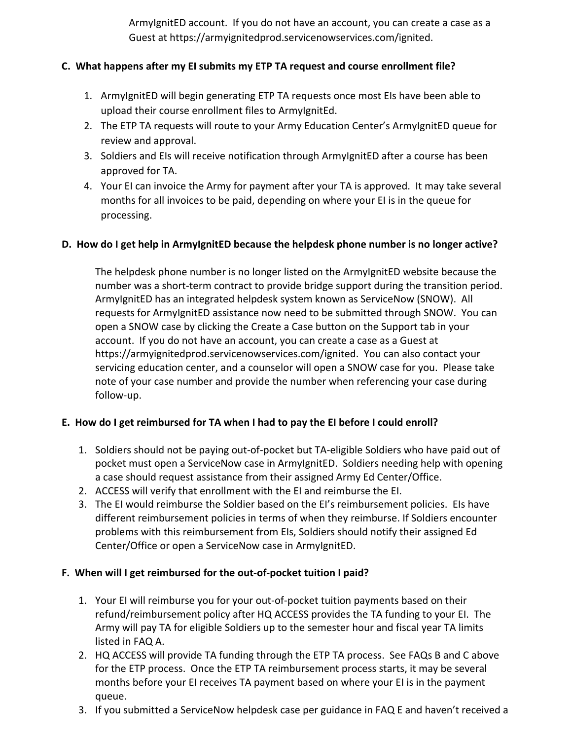ArmyIgnitED account. If you do not have an account, you can create a case as a Guest at [https://armyignitedprod.servicenowservices.com/ignited.](https://armyignitedprod.servicenowservices.com/ignited)

## **C. What happens after my EI submits my ETP TA request and course enrollment file?**

- 1. ArmyIgnitED will begin generating ETP TA requests once most EIs have been able to upload their course enrollment files to ArmyIgnitEd.
- 2. The ETP TA requests will route to your Army Education Center's ArmyIgnitED queue for review and approval.
- 3. Soldiers and EIs will receive notification through ArmyIgnitED after a course has been approved for TA.
- 4. Your EI can invoice the Army for payment after your TA is approved. It may take several months for all invoices to be paid, depending on where your EI is in the queue for processing.

## **D. How do I get help in ArmyIgnitED because the helpdesk phone number is no longer active?**

The helpdesk phone number is no longer listed on the ArmyIgnitED website because the number was a short-term contract to provide bridge support during the transition period. ArmyIgnitED has an integrated helpdesk system known as ServiceNow (SNOW). All requests for ArmyIgnitED assistance now need to be submitted through SNOW. You can open a SNOW case by clicking the Create a Case button on the Support tab in your account. If you do not have an account, you can create a case as a Guest at https://armyignitedprod.servicenowservices.com/ignited. You can also contact your servicing education center, and a counselor will open a SNOW case for you. Please take note of your case number and provide the number when referencing your case during follow-up.

## **E. How do I get reimbursed for TA when I had to pay the EI before I could enroll?**

- 1. Soldiers should not be paying out-of-pocket but TA-eligible Soldiers who have paid out of pocket must open a ServiceNow case in ArmyIgnitED. Soldiers needing help with opening a case should request assistance from their assigned Army Ed Center/Office.
- 2. ACCESS will verify that enrollment with the EI and reimburse the EI.
- 3. The EI would reimburse the Soldier based on the EI's reimbursement policies. EIs have different reimbursement policies in terms of when they reimburse. If Soldiers encounter problems with this reimbursement from EIs, Soldiers should notify their assigned Ed Center/Office or open a ServiceNow case in ArmyIgnitED.

# **F. When will I get reimbursed for the out-of-pocket tuition I paid?**

- 1. Your EI will reimburse you for your out-of-pocket tuition payments based on their refund/reimbursement policy after HQ ACCESS provides the TA funding to your EI. The Army will pay TA for eligible Soldiers up to the semester hour and fiscal year TA limits listed in FAQ A.
- 2. HQ ACCESS will provide TA funding through the ETP TA process. See FAQs B and C above for the ETP process. Once the ETP TA reimbursement process starts, it may be several months before your EI receives TA payment based on where your EI is in the payment queue.
- 3. If you submitted a ServiceNow helpdesk case per guidance in FAQ E and haven't received a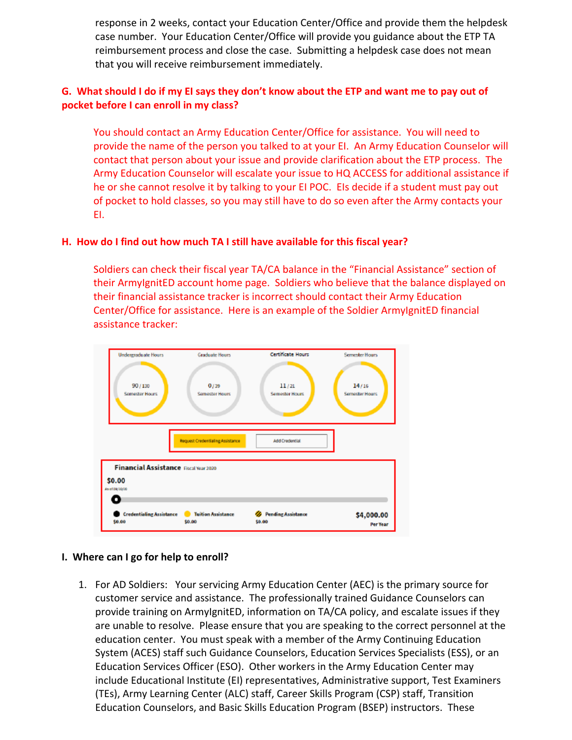response in 2 weeks, contact your Education Center/Office and provide them the helpdesk case number. Your Education Center/Office will provide you guidance about the ETP TA reimbursement process and close the case. Submitting a helpdesk case does not mean that you will receive reimbursement immediately.

## **G. What should I do if my EI says they don't know about the ETP and want me to pay out of pocket before I can enroll in my class?**

You should contact an Army Education Center/Office for assistance. You will need to provide the name of the person you talked to at your EI. An Army Education Counselor will contact that person about your issue and provide clarification about the ETP process. The Army Education Counselor will escalate your issue to HQ ACCESS for additional assistance if he or she cannot resolve it by talking to your EI POC. EIs decide if a student must pay out of pocket to hold classes, so you may still have to do so even after the Army contacts your EI.

### **H. How do I find out how much TA I still have available for this fiscal year?**

Soldiers can check their fiscal year TA/CA balance in the "Financial Assistance" section of their ArmyIgnitED account home page. Soldiers who believe that the balance displayed on their financial assistance tracker is incorrect should contact their Army Education Center/Office for assistance. Here is an example of the Soldier ArmyIgnitED financial assistance tracker:



### **I. Where can I go for help to enroll?**

1. For AD Soldiers: Your servicing Army Education Center (AEC) is the primary source for customer service and assistance. The professionally trained Guidance Counselors can provide training on ArmylgnitED, information on TA/CA policy, and escalate issues if they are unable to resolve. Please ensure that you are speaking to the correct personnel at the education center. You must speak with a member of the Army Continuing Education System (ACES) staff such Guidance Counselors, Education Services Specialists (ESS), or an Education Services Officer (ESO). Other workers in the Army Education Center may include Educational Institute (EI) representatives, Administrative support, Test Examiners (TEs), Army Learning Center (ALC) staff, Career Skills Program (CSP) staff, Transition Education Counselors, and Basic Skills Education Program (BSEP) instructors. These